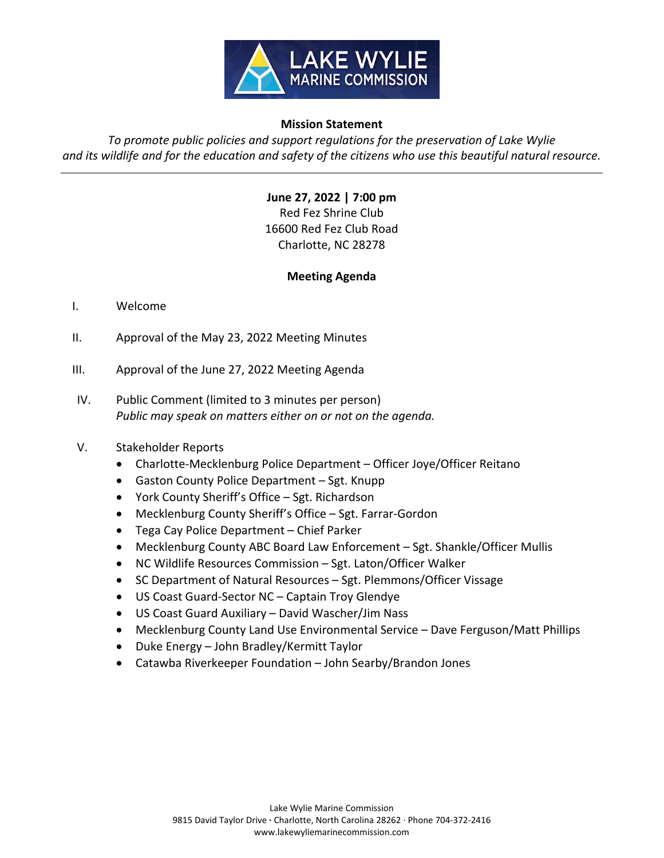

## **Mission Statement**

*To promote public policies and support regulations for the preservation of Lake Wylie*  and its wildlife and for the education and safety of the citizens who use this beautiful natural resource.

> **June 27, 2022 | 7:00 pm** Red Fez Shrine Club 16600 Red Fez Club Road Charlotte, NC 28278

## **Meeting Agenda**

## I. Welcome

- II. Approval of the May 23, 2022 Meeting Minutes
- III. Approval of the June 27, 2022 Meeting Agenda
- IV. Public Comment (limited to 3 minutes per person) *Public may speak on matters either on or not on the agenda.*

## V. Stakeholder Reports

- Charlotte-Mecklenburg Police Department Officer Joye/Officer Reitano
- Gaston County Police Department Sgt. Knupp
- York County Sheriff's Office Sgt. Richardson
- Mecklenburg County Sheriff's Office Sgt. Farrar-Gordon
- Tega Cay Police Department Chief Parker
- Mecklenburg County ABC Board Law Enforcement Sgt. Shankle/Officer Mullis
- NC Wildlife Resources Commission Sgt. Laton/Officer Walker
- SC Department of Natural Resources Sgt. Plemmons/Officer Vissage
- US Coast Guard-Sector NC Captain Troy Glendye
- US Coast Guard Auxiliary David Wascher/Jim Nass
- Mecklenburg County Land Use Environmental Service Dave Ferguson/Matt Phillips
- Duke Energy John Bradley/Kermitt Taylor
- Catawba Riverkeeper Foundation John Searby/Brandon Jones